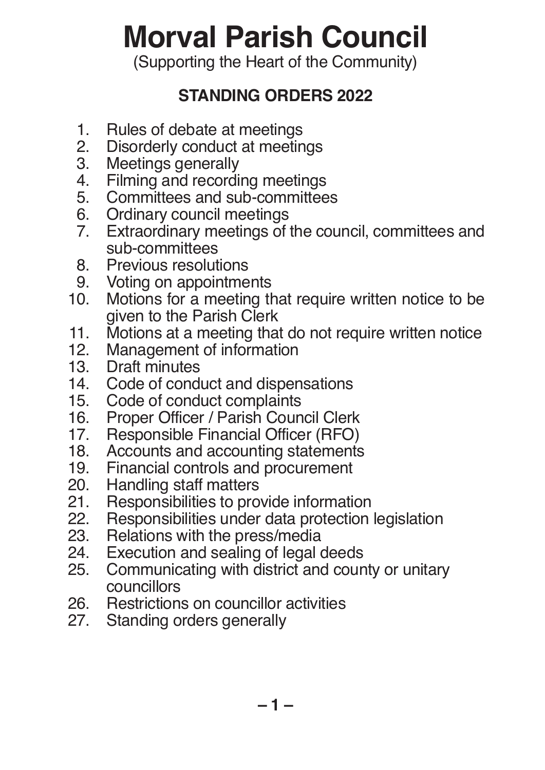# **Morval Parish Council**

(Supporting the Heart of the Community)

# **STANDING ORDERS 2022**

- 1. Rules of debate at meetings<br>2. Disorderly conduct at meeting
- 2. Disorderly conduct at meetings<br>3. Meetings generally
- 3. Meetings generally<br>4. Filming and recordi
- 4. Filming and recording meetings<br>5. Committees and sub-committee
- 5. Committees and sub-committees<br>6. Ordinary council meetings
- 6. Ordinary council meetings<br>7. Extraordinary meetings of
- Extraordinary meetings of the council, committees and sub-committees<br>8. Previous resolut
- 8. Previous resolutions<br>9. Voting on appointme
- 9. Voting on appointments<br>10. Motions for a meeting th
- Motions for a meeting that require written notice to be given to the Parish Clerk<br>11. Motions at a meeting tha
- 11. Motions at a meeting that do not require written notice<br>12. Management of information
- 12. Management of information<br>13. Draft minutes
- 13. Draft minutes<br>14. Code of condi
- 14. Code of conduct and dispensations<br>15. Code of conduct complaints
- 15. Code of conduct complaints<br>16. Proper Officer / Parish Coun
- 16. Proper Officer / Parish Council Clerk<br>17. Responsible Financial Officer (RFO)
- 17. Responsible Financial Officer (RFO)<br>18. Accounts and accounting statements
- 18. Accounts and accounting statements<br>19. Financial controls and procurement
- 19. Financial controls and procurement<br>20. Handling staff matters
- 20. Handling staff matters<br>21. Responsibilities to pro-
- 21. Responsibilities to provide information<br>22. Responsibilities under data protection
- 22. Responsibilities under data protection legislation<br>23. Relations with the press/media
- 23. Relations with the press/media<br>24. Execution and sealing of legal of
- 24. Execution and sealing of legal deeds<br>25. Communicating with district and cour
- Communicating with district and county or unitary councillors<br>26. Restrictions
- 26. Restrictions on councillor activities<br>27. Standing orders generally
- Standing orders generally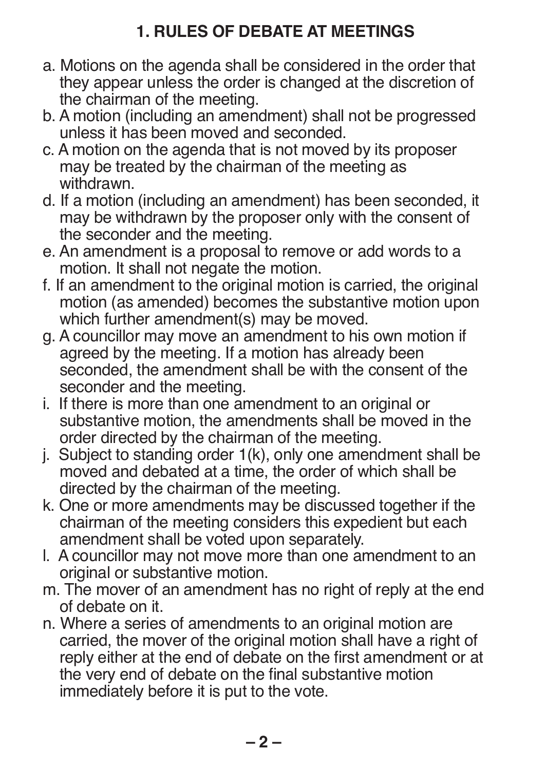# **1. RULES OF DEBATE AT MEETINGS**

- a. Motions on the agenda shall be considered in the order that they appear unless the order is changed at the discretion of the chairman of the meeting.
- b. A motion (including an amendment) shall not be progressed unless it has been moved and seconded.
- c. A motion on the agenda that is not moved by its proposer may be treated by the chairman of the meeting as withdrawn.
- d. If a motion (including an amendment) has been seconded, it may be withdrawn by the proposer only with the consent of the seconder and the meeting.
- e. An amendment is a proposal to remove or add words to a motion. It shall not negate the motion.
- f. If an amendment to the original motion is carried, the original motion (as amended) becomes the substantive motion upon which further amendment(s) may be moved.
- g. A councillor may move an amendment to his own motion if agreed by the meeting. If a motion has already been seconded, the amendment shall be with the consent of the seconder and the meeting.
- i. If there is more than one amendment to an original or substantive motion, the amendments shall be moved in the order directed by the chairman of the meeting.
- j. Subject to standing order 1(k), only one amendment shall be moved and debated at a time, the order of which shall be directed by the chairman of the meeting.
- k. One or more amendments may be discussed together if the chairman of the meeting considers this expedient but each amendment shall be voted upon separately.
- l. A councillor may not move more than one amendment to an original or substantive motion.
- m. The mover of an amendment has no right of reply at the end of debate on it.
- n. Where a series of amendments to an original motion are carried, the mover of the original motion shall have a right of reply either at the end of debate on the first amendment or at the very end of debate on the final substantive motion immediately before it is put to the vote.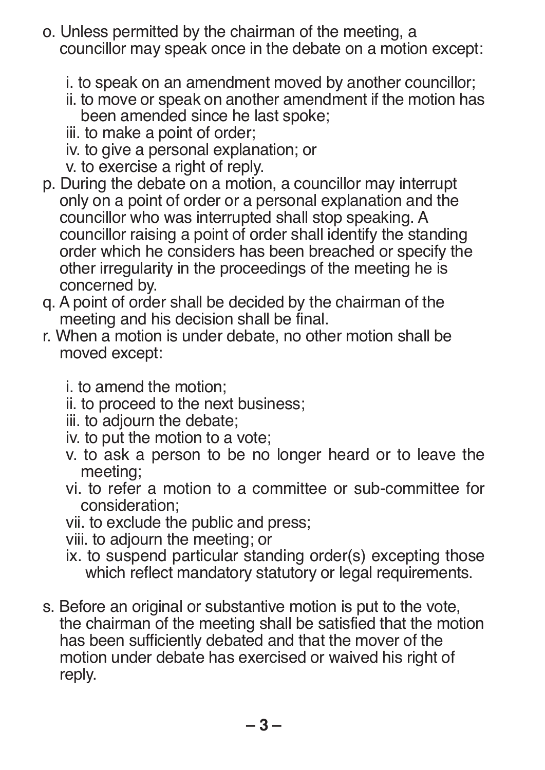- o. Unless permitted by the chairman of the meeting, a councillor may speak once in the debate on a motion except:
	- i. to speak on an amendment moved by another councillor;
	- ii. to move or speak on another amendment if the motion has been amended since he last spoke;
	- iii. to make a point of order;
	- iv. to give a personal explanation; or
	- v. to exercise a right of reply.
- p. During the debate on a motion, a councillor may interrupt only on a point of order or a personal explanation and the councillor who was interrupted shall stop speaking. A councillor raising a point of order shall identify the standing order which he considers has been breached or specify the other irregularity in the proceedings of the meeting he is concerned by.
- q. A point of order shall be decided by the chairman of the meeting and his decision shall be final.
- r. When a motion is under debate, no other motion shall be moved except:
	- i. to amend the motion;
	- ii. to proceed to the next business;
	- iii. to adjourn the debate;
	- iv. to put the motion to a vote;
	- v. to ask a person to be no longer heard or to leave the meeting;
	- vi. to refer a motion to a committee or sub-committee for consideration;
	- vii. to exclude the public and press;

viii. to adjourn the meeting; or

- ix. to suspend particular standing order(s) excepting those which reflect mandatory statutory or legal requirements.
- s. Before an original or substantive motion is put to the vote, the chairman of the meeting shall be satisfied that the motion has been sufficiently debated and that the mover of the motion under debate has exercised or waived his right of reply.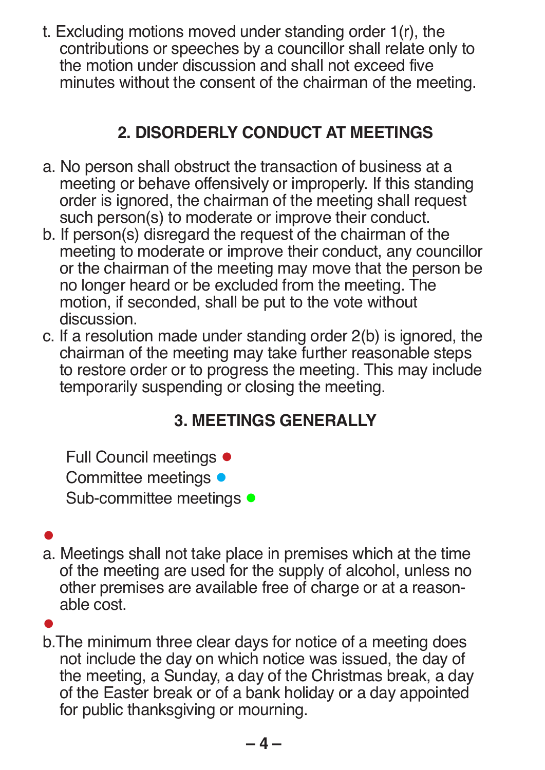t. Excluding motions moved under standing order 1(r), the contributions or speeches by a councillor shall relate only to the motion under discussion and shall not exceed five minutes without the consent of the chairman of the meeting.

# **2. DISORDERLY CONDUCT AT MEETINGS**

- a. No person shall obstruct the transaction of business at a meeting or behave offensively or improperly. If this standing order is ignored, the chairman of the meeting shall request such person(s) to moderate or improve their conduct.
- b. If person(s) disregard the request of the chairman of the meeting to moderate or improve their conduct, any councillor or the chairman of the meeting may move that the person be no longer heard or be excluded from the meeting. The motion, if seconded, shall be put to the vote without discussion.
- c. If a resolution made under standing order 2(b) is ignored, the chairman of the meeting may take further reasonable steps to restore order or to progress the meeting. This may include temporarily suspending or closing the meeting.

# **3. MEETINGS GENERALLY**

Full Council meetings ● Committee meetings ● Sub-committee meetings ●

### ●

a. Meetings shall not take place in premises which at the time of the meeting are used for the supply of alcohol, unless no other premises are available free of charge or at a reasonable cost.

# ●

b.The minimum three clear days for notice of a meeting does not include the day on which notice was issued, the day of the meeting, a Sunday, a day of the Christmas break, a day of the Easter break or of a bank holiday or a day appointed for public thanksgiving or mourning.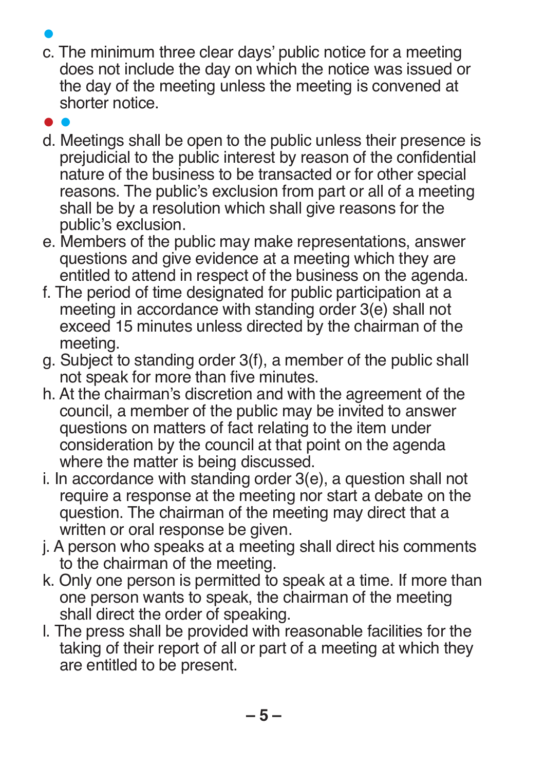- ●
- c. The minimum three clear days' public notice for a meeting does not include the day on which the notice was issued or the day of the meeting unless the meeting is convened at shorter notice.
- ●
- d. Meetings shall be open to the public unless their presence is prejudicial to the public interest by reason of the confidential nature of the business to be transacted or for other special reasons. The public's exclusion from part or all of a meeting shall be by a resolution which shall give reasons for the public's exclusion.
- e. Members of the public may make representations, answer questions and give evidence at a meeting which they are entitled to attend in respect of the business on the agenda.
- f. The period of time designated for public participation at a meeting in accordance with standing order 3(e) shall not exceed 15 minutes unless directed by the chairman of the meeting.
- g. Subject to standing order 3(f), a member of the public shall not speak for more than five minutes.
- h. At the chairman's discretion and with the agreement of the council, a member of the public may be invited to answer questions on matters of fact relating to the item under consideration by the council at that point on the agenda where the matter is being discussed.
- i. In accordance with standing order 3(e), a question shall not require a response at the meeting nor start a debate on the question. The chairman of the meeting may direct that a written or oral response be given.
- j. A person who speaks at a meeting shall direct his comments to the chairman of the meeting.
- k. Only one person is permitted to speak at a time. If more than one person wants to speak, the chairman of the meeting shall direct the order of speaking.
- l. The press shall be provided with reasonable facilities for the taking of their report of all or part of a meeting at which they are entitled to be present.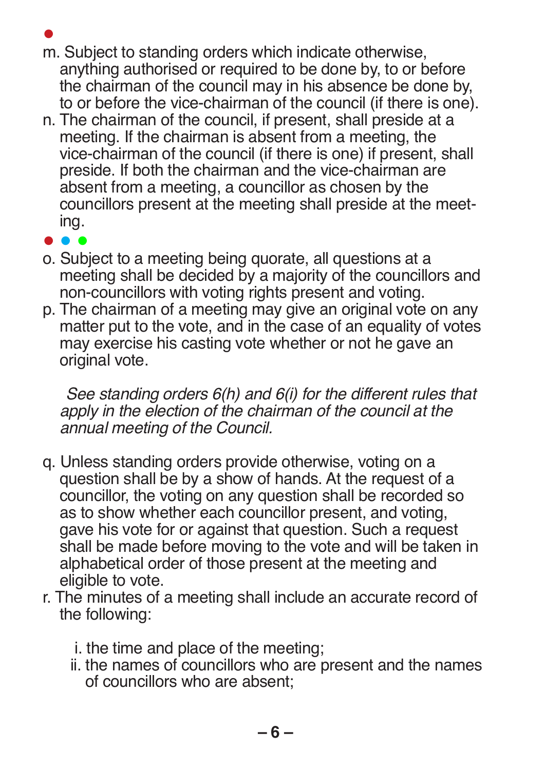- m. Subject to standing orders which indicate otherwise, anything authorised or required to be done by, to or before the chairman of the council may in his absence be done by, to or before the vice-chairman of the council (if there is one).
- n. The chairman of the council, if present, shall preside at a meeting. If the chairman is absent from a meeting, the vice-chairman of the council (if there is one) if present, shall preside. If both the chairman and the vice-chairman are absent from a meeting, a councillor as chosen by the councillors present at the meeting shall preside at the meeting.
- ● ●
- o. Subject to a meeting being quorate, all questions at a meeting shall be decided by a majority of the councillors and non-councillors with voting rights present and voting.
- p. The chairman of a meeting may give an original vote on any matter put to the vote, and in the case of an equality of votes may exercise his casting vote whether or not he gave an original vote.

*See standing orders 6(h) and 6(i) for the different rules that apply in the election of the chairman of the council at the annual meeting of the Council.*

- q. Unless standing orders provide otherwise, voting on a question shall be by a show of hands. At the request of a councillor, the voting on any question shall be recorded so as to show whether each councillor present, and voting, gave his vote for or against that question. Such a request shall be made before moving to the vote and will be taken in alphabetical order of those present at the meeting and eligible to vote.
- r. The minutes of a meeting shall include an accurate record of the following:
	- i. the time and place of the meeting;
	- ii. the names of councillors who are present and the names of councillors who are absent;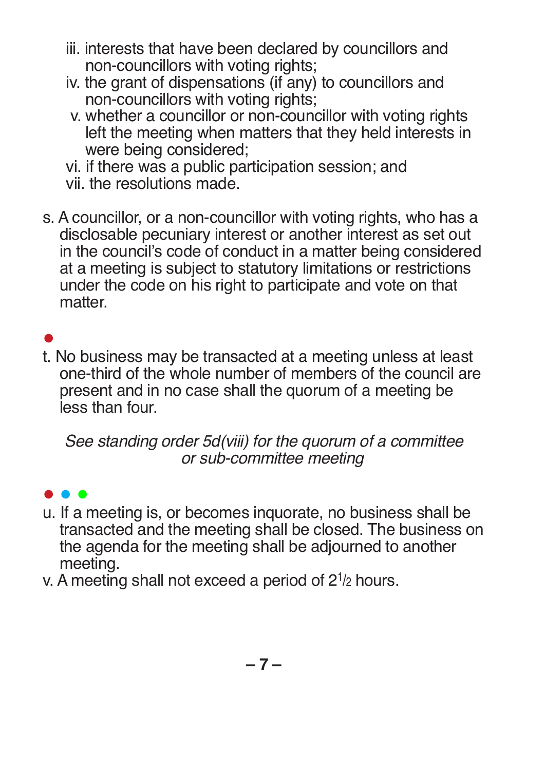- iii. interests that have been declared by councillors and non-councillors with voting rights;
- iv. the grant of dispensations (if any) to councillors and non-councillors with voting rights;
- v. whether a councillor or non-councillor with voting rights left the meeting when matters that they held interests in were being considered;

vi. if there was a public participation session; and vii. the resolutions made.

s. A councillor, or a non-councillor with voting rights, who has a disclosable pecuniary interest or another interest as set out in the council's code of conduct in a matter being considered at a meeting is subject to statutory limitations or restrictions under the code on his right to participate and vote on that matter.

# ●

t. No business may be transacted at a meeting unless at least one-third of the whole number of members of the council are present and in no case shall the quorum of a meeting be less than four.

*See standing order 5d(viii) for the quorum of a committee or sub-committee meeting*

#### ● ● ●

- u. If a meeting is, or becomes inquorate, no business shall be transacted and the meeting shall be closed. The business on the agenda for the meeting shall be adjourned to another meeting.
- v. A meeting shall not exceed a period of  $2^{1/2}$  hours.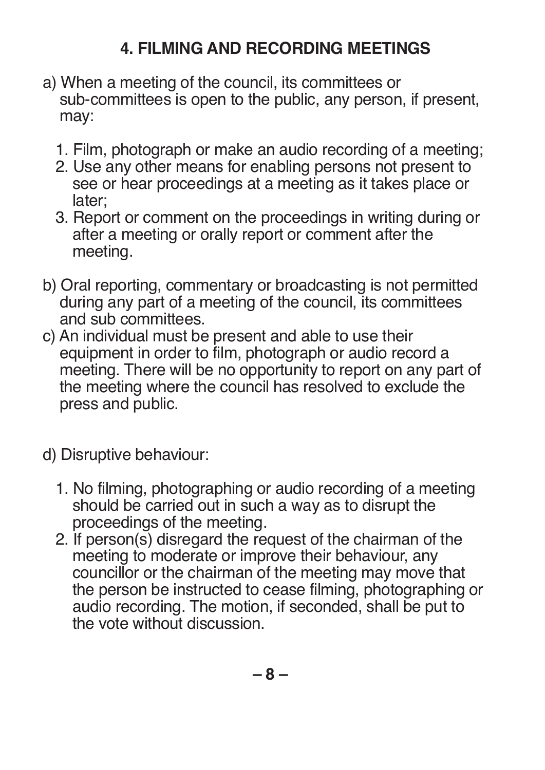# **4. FILMING AND RECORDING MEETINGS**

- a) When a meeting of the council, its committees or sub-committees is open to the public, any person, if present, may:
	- 1. Film, photograph or make an audio recording of a meeting;
	- 2. Use any other means for enabling persons not present to see or hear proceedings at a meeting as it takes place or later;
	- 3. Report or comment on the proceedings in writing during or after a meeting or orally report or comment after the meeting.
- b) Oral reporting, commentary or broadcasting is not permitted during any part of a meeting of the council, its committees and sub committees.
- c) An individual must be present and able to use their equipment in order to film, photograph or audio record a meeting. There will be no opportunity to report on any part of the meeting where the council has resolved to exclude the press and public.
- d) Disruptive behaviour:
	- 1. No filming, photographing or audio recording of a meeting should be carried out in such a way as to disrupt the proceedings of the meeting.
	- 2. If person(s) disregard the request of the chairman of the meeting to moderate or improve their behaviour, any councillor or the chairman of the meeting may move that the person be instructed to cease filming, photographing or audio recording. The motion, if seconded, shall be put to the vote without discussion.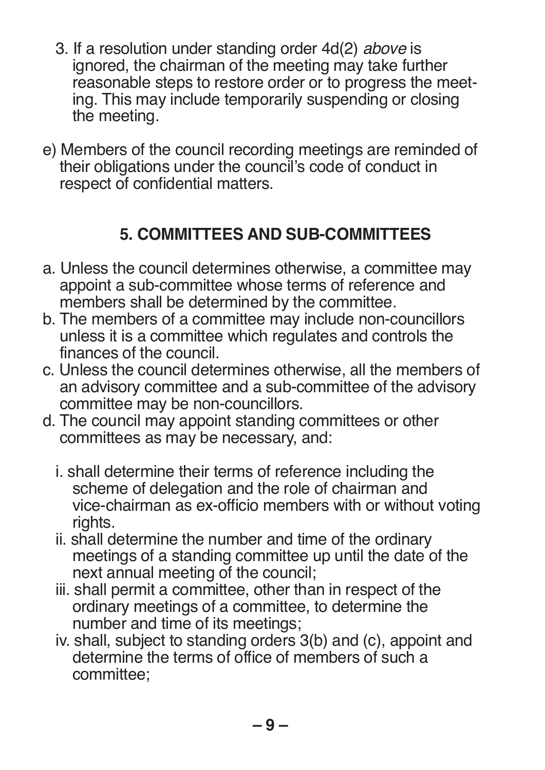- 3. If a resolution under standing order 4d(2) *above* is ignored, the chairman of the meeting may take further reasonable steps to restore order or to progress the meeting. This may include temporarily suspending or closing the meeting.
- e) Members of the council recording meetings are reminded of their obligations under the council's code of conduct in respect of confidential matters.

# **5. COMMITTEES AND SUB-COMMITTEES**

- a. Unless the council determines otherwise, a committee may appoint a sub-committee whose terms of reference and members shall be determined by the committee.
- b. The members of a committee may include non-councillors unless it is a committee which regulates and controls the finances of the council.
- c. Unless the council determines otherwise, all the members of an advisory committee and a sub-committee of the advisory committee may be non-councillors.
- d. The council may appoint standing committees or other committees as may be necessary, and:
	- i. shall determine their terms of reference including the scheme of delegation and the role of chairman and vice-chairman as ex-officio members with or without voting rights.
	- ii. shall determine the number and time of the ordinary meetings of a standing committee up until the date of the next annual meeting of the council;
	- iii. shall permit a committee, other than in respect of the ordinary meetings of a committee, to determine the number and time of its meetings;
	- iv. shall, subject to standing orders 3(b) and (c), appoint and determine the terms of office of members of such a committee;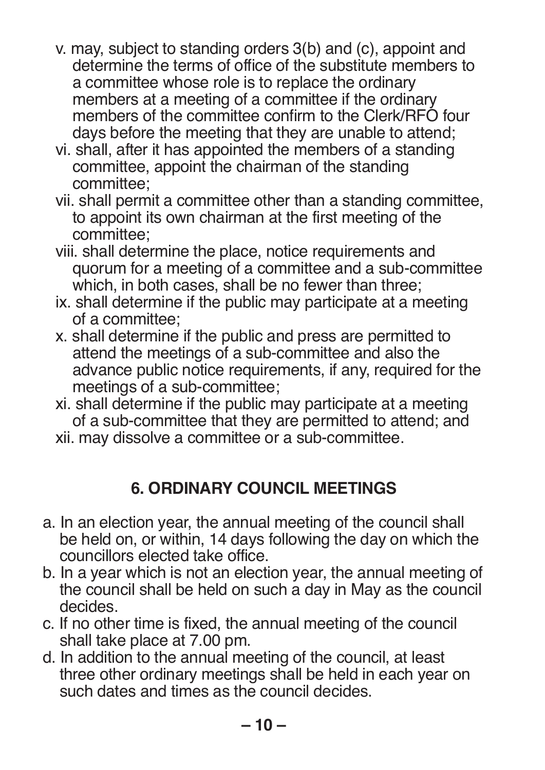- v. may, subject to standing orders 3(b) and (c), appoint and determine the terms of office of the substitute members to a committee whose role is to replace the ordinary members at a meeting of a committee if the ordinary members of the committee confirm to the Clerk/RFO four days before the meeting that they are unable to attend;
- vi. shall, after it has appointed the members of a standing committee, appoint the chairman of the standing committee;
- vii. shall permit a committee other than a standing committee, to appoint its own chairman at the first meeting of the committee;
- viii. shall determine the place, notice requirements and quorum for a meeting of a committee and a sub-committee which, in both cases, shall be no fewer than three;
- ix. shall determine if the public may participate at a meeting of a committee;
- x. shall determine if the public and press are permitted to attend the meetings of a sub-committee and also the advance public notice requirements, if any, required for the meetings of a sub-committee;
- xi. shall determine if the public may participate at a meeting of a sub-committee that they are permitted to attend; and xii. may dissolve a committee or a sub-committee.

# **6. ORDINARY COUNCIL MEETINGS**

- a. In an election year, the annual meeting of the council shall be held on, or within, 14 days following the day on which the councillors elected take office.
- b. In a year which is not an election year, the annual meeting of the council shall be held on such a day in May as the council decides.
- c. If no other time is fixed, the annual meeting of the council shall take place at 7.00 pm.
- d. In addition to the annual meeting of the council, at least three other ordinary meetings shall be held in each year on such dates and times as the council decides.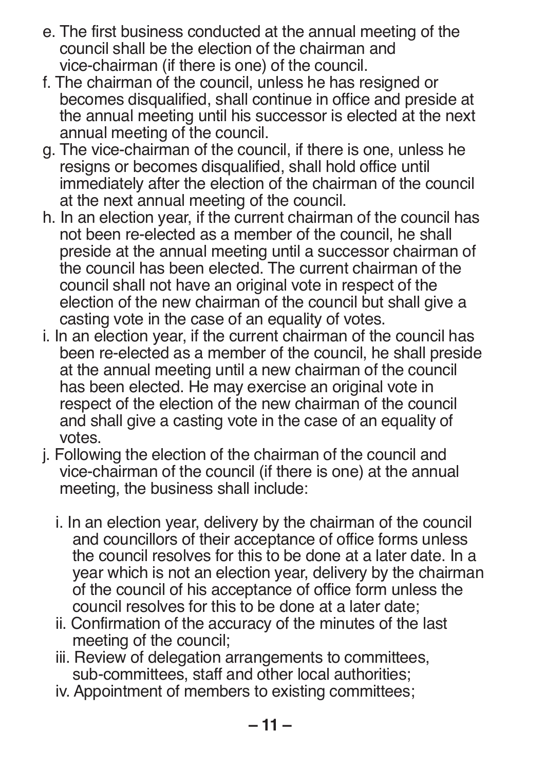- e. The first business conducted at the annual meeting of the council shall be the election of the chairman and vice-chairman (if there is one) of the council.
- f. The chairman of the council, unless he has resigned or becomes disqualified, shall continue in office and preside at the annual meeting until his successor is elected at the next annual meeting of the council.
- g. The vice-chairman of the council, if there is one, unless he resigns or becomes disqualified, shall hold office until immediately after the election of the chairman of the council at the next annual meeting of the council.
- h. In an election year, if the current chairman of the council has not been re-elected as a member of the council, he shall preside at the annual meeting until a successor chairman of the council has been elected. The current chairman of the council shall not have an original vote in respect of the election of the new chairman of the council but shall give a casting vote in the case of an equality of votes.
- i. In an election year, if the current chairman of the council has been re-elected as a member of the council, he shall preside at the annual meeting until a new chairman of the council has been elected. He may exercise an original vote in respect of the election of the new chairman of the council and shall give a casting vote in the case of an equality of votes.
- j. Following the election of the chairman of the council and vice-chairman of the council (if there is one) at the annual meeting, the business shall include:
	- i. In an election year, delivery by the chairman of the council and councillors of their acceptance of office forms unless the council resolves for this to be done at a later date. In a year which is not an election year, delivery by the chairman of the council of his acceptance of office form unless the council resolves for this to be done at a later date;
	- ii. Confirmation of the accuracy of the minutes of the last meeting of the council;
	- iii. Review of delegation arrangements to committees, sub-committees, staff and other local authorities;
	- iv. Appointment of members to existing committees;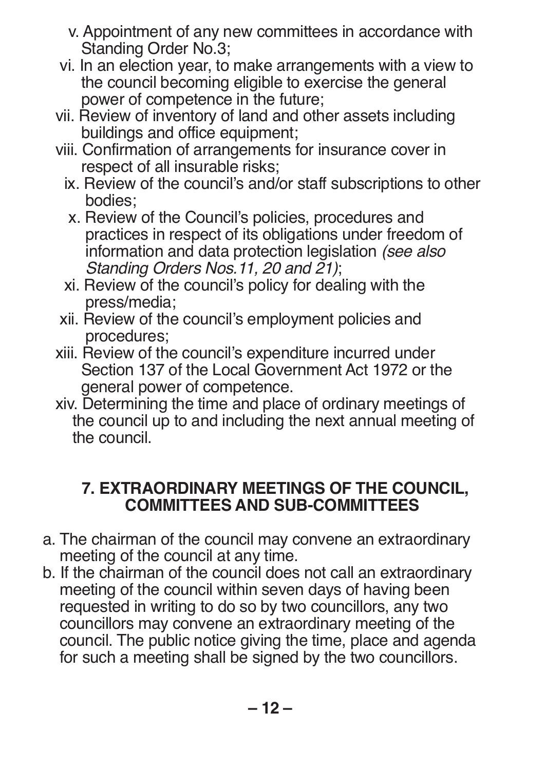- v. Appointment of any new committees in accordance with Standing Order No.3;
- vi. In an election year, to make arrangements with a view to the council becoming eligible to exercise the general power of competence in the future;
- vii. Review of inventory of land and other assets including buildings and office equipment;
- viii. Confirmation of arrangements for insurance cover in respect of all insurable risks;
	- ix. Review of the council's and/or staff subscriptions to other bodies;
	- x. Review of the Council's policies, procedures and practices in respect of its obligations under freedom of information and data protection legislation *(see also Standing Orders Nos.11, 20 and 21)*;
	- xi. Review of the council's policy for dealing with the press/media;
- xii. Review of the council's employment policies and procedures;
- xiii. Review of the council's expenditure incurred under Section 137 of the Local Government Act 1972 or the general power of competence.
- xiv. Determining the time and place of ordinary meetings of the council up to and including the next annual meeting of the council.

#### **7. EXTRAORDINARY MEETINGS OF THE COUNCIL, COMMITTEES AND SUB-COMMITTEES**

- a. The chairman of the council may convene an extraordinary meeting of the council at any time.
- b. If the chairman of the council does not call an extraordinary meeting of the council within seven days of having been requested in writing to do so by two councillors, any two councillors may convene an extraordinary meeting of the council. The public notice giving the time, place and agenda for such a meeting shall be signed by the two councillors.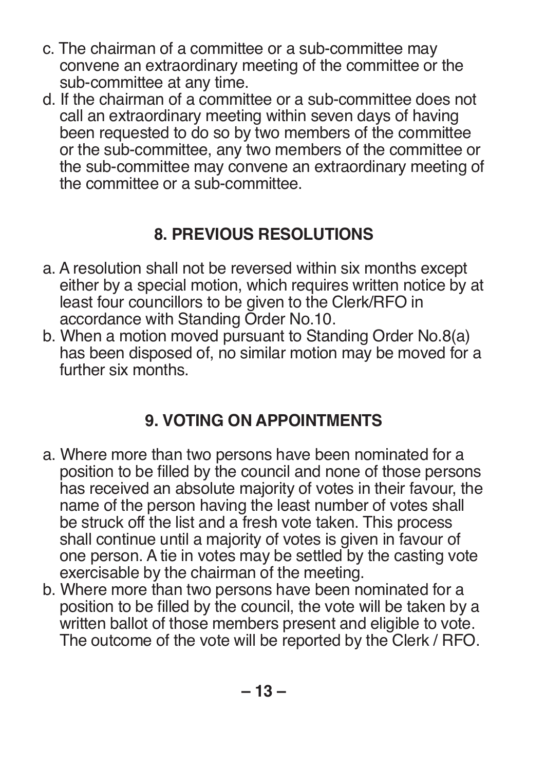- c. The chairman of a committee or a sub-committee may convene an extraordinary meeting of the committee or the sub-committee at any time.
- d. If the chairman of a committee or a sub-committee does not call an extraordinary meeting within seven days of having been requested to do so by two members of the committee or the sub-committee, any two members of the committee or the sub-committee may convene an extraordinary meeting of the committee or a sub-committee.

# **8. PREVIOUS RESOLUTIONS**

- a. A resolution shall not be reversed within six months except either by a special motion, which requires written notice by at least four councillors to be given to the Clerk/RFO in accordance with Standing Order No.10.
- b. When a motion moved pursuant to Standing Order No.8(a) has been disposed of, no similar motion may be moved for a further six months.

# **9. VOTING ON APPOINTMENTS**

- a. Where more than two persons have been nominated for a position to be filled by the council and none of those persons has received an absolute majority of votes in their favour, the name of the person having the least number of votes shall be struck off the list and a fresh vote taken. This process shall continue until a majority of votes is given in favour of one person. A tie in votes may be settled by the casting vote exercisable by the chairman of the meeting.
- b. Where more than two persons have been nominated for a position to be filled by the council, the vote will be taken by a written ballot of those members present and eligible to vote. The outcome of the vote will be reported by the Clerk / RFO.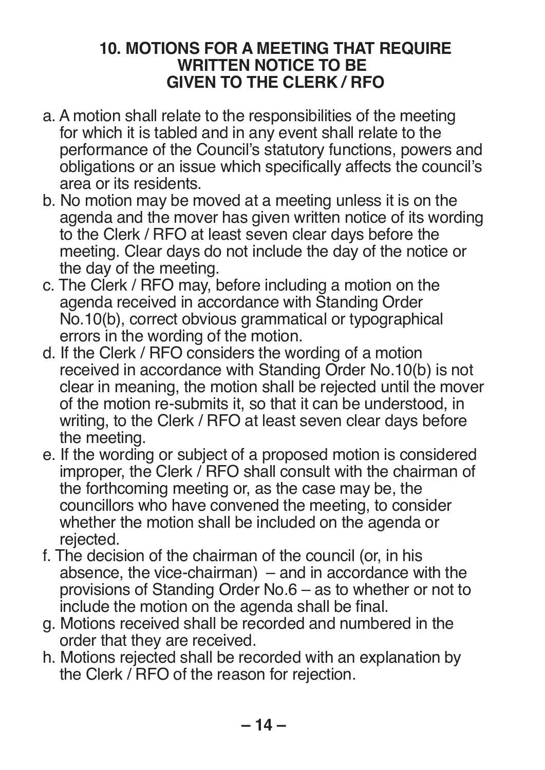#### **10. MOTIONS FOR A MEETING THAT REQUIRE WRITTEN NOTICE TO BE GIVEN TO THE CLERK / RFO**

- a. A motion shall relate to the responsibilities of the meeting for which it is tabled and in any event shall relate to the performance of the Council's statutory functions, powers and obligations or an issue which specifically affects the council's area or its residents.
- b. No motion may be moved at a meeting unless it is on the agenda and the mover has given written notice of its wording to the Clerk / RFO at least seven clear days before the meeting. Clear days do not include the day of the notice or the day of the meeting.
- c. The Clerk / RFO may, before including a motion on the agenda received in accordance with Standing Order No.10(b), correct obvious grammatical or typographical errors in the wording of the motion.
- d. If the Clerk / RFO considers the wording of a motion received in accordance with Standing Order No.10(b) is not clear in meaning, the motion shall be rejected until the mover of the motion re-submits it, so that it can be understood, in writing, to the Clerk / RFO at least seven clear days before the meeting.
- e. If the wording or subject of a proposed motion is considered improper, the Clerk / RFO shall consult with the chairman of the forthcoming meeting or, as the case may be, the councillors who have convened the meeting, to consider whether the motion shall be included on the agenda or rejected.
- f. The decision of the chairman of the council (or, in his absence, the vice-chairman)  $-$  and in accordance with the provisions of Standing Order No.6 – as to whether or not to include the motion on the agenda shall be final.
- g. Motions received shall be recorded and numbered in the order that they are received.
- h. Motions rejected shall be recorded with an explanation by the Clerk / RFO of the reason for rejection.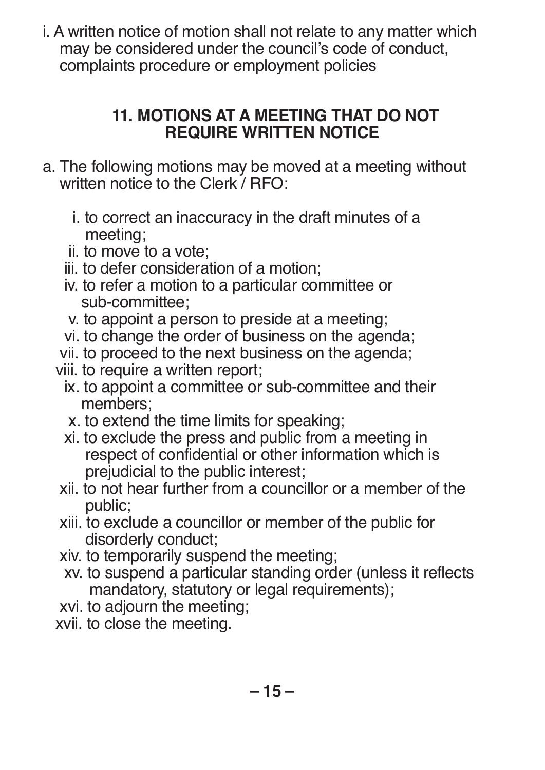i. A written notice of motion shall not relate to any matter which may be considered under the council's code of conduct, complaints procedure or employment policies

#### **11. MOTIONS AT A MEETING THAT DO NOT REQUIRE WRITTEN NOTICE**

- a. The following motions may be moved at a meeting without written notice to the Clerk / RFO:
	- i. to correct an inaccuracy in the draft minutes of a meeting;
	- ii. to move to a vote;
	- iii. to defer consideration of a motion;
	- iv. to refer a motion to a particular committee or sub-committee;
	- v. to appoint a person to preside at a meeting;
	- vi. to change the order of business on the agenda;
	- vii. to proceed to the next business on the agenda;
	- viii. to require a written report;
		- ix. to appoint a committee or sub-committee and their members;
		- x. to extend the time limits for speaking;
		- xi. to exclude the press and public from a meeting in respect of confidential or other information which is prejudicial to the public interest;
	- xii. to not hear further from a councillor or a member of the public;
	- xiii. to exclude a councillor or member of the public for disorderly conduct;
	- xiv. to temporarily suspend the meeting;
	- xv. to suspend a particular standing order (unless it reflects mandatory, statutory or legal requirements);
	- xvi. to adjourn the meeting;
	- xvii. to close the meeting.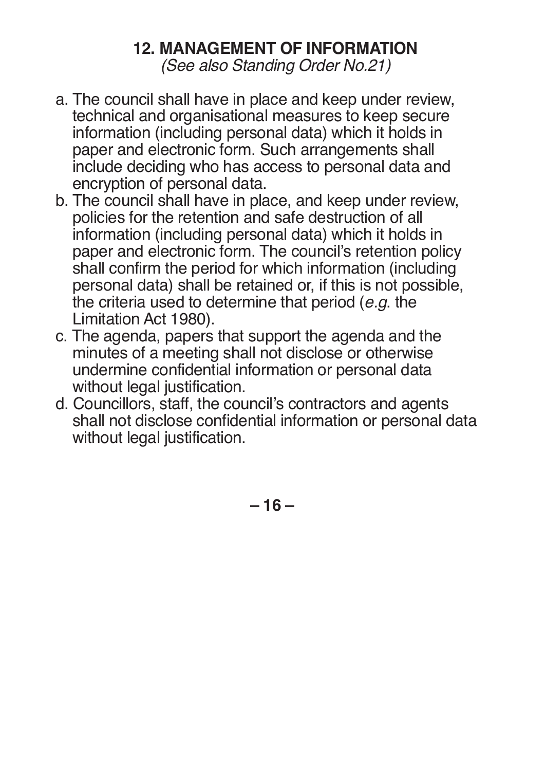#### **12. MANAGEMENT OF INFORMATION**

*(See also Standing Order No.21)*

- a. The council shall have in place and keep under review, technical and organisational measures to keep secure information (including personal data) which it holds in paper and electronic form. Such arrangements shall include deciding who has access to personal data and encryption of personal data.
- b. The council shall have in place, and keep under review, policies for the retention and safe destruction of all information (including personal data) which it holds in paper and electronic form. The council's retention policy shall confirm the period for which information (including personal data) shall be retained or, if this is not possible, the criteria used to determine that period (*e.g*. the Limitation Act 1980).
- c. The agenda, papers that support the agenda and the minutes of a meeting shall not disclose or otherwise undermine confidential information or personal data without legal justification.
- d. Councillors, staff, the council's contractors and agents shall not disclose confidential information or personal data without legal justification.

**– 16 –**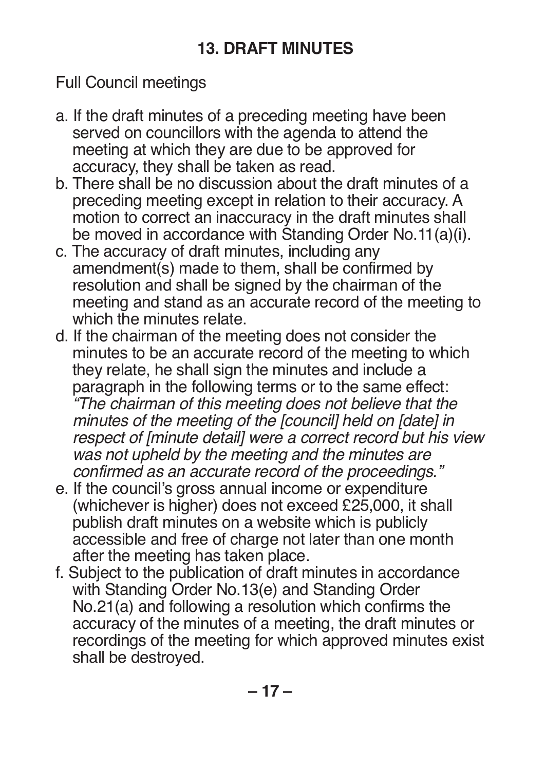Full Council meetings

- a. If the draft minutes of a preceding meeting have been served on councillors with the agenda to attend the meeting at which they are due to be approved for accuracy, they shall be taken as read.
- b. There shall be no discussion about the draft minutes of a preceding meeting except in relation to their accuracy. A motion to correct an inaccuracy in the draft minutes shall be moved in accordance with Standing Order No.11(a)(i).
- c. The accuracy of draft minutes, including any amendment(s) made to them, shall be confirmed by resolution and shall be signed by the chairman of the meeting and stand as an accurate record of the meeting to which the minutes relate.
- d. If the chairman of the meeting does not consider the minutes to be an accurate record of the meeting to which they relate, he shall sign the minutes and include a paragraph in the following terms or to the same effect: *"The chairman of this meeting does not believe that the minutes of the meeting of the [council] held on [date] in respect of [minute detail] were a correct record but his view was not upheld by the meeting and the minutes are confirmed as an accurate record of the proceedings."*
- e. If the council's gross annual income or expenditure (whichever is higher) does not exceed £25,000, it shall publish draft minutes on a website which is publicly accessible and free of charge not later than one month after the meeting has taken place.
- f. Subject to the publication of draft minutes in accordance with Standing Order No.13(e) and Standing Order No.21(a) and following a resolution which confirms the accuracy of the minutes of a meeting, the draft minutes or recordings of the meeting for which approved minutes exist shall be destroyed.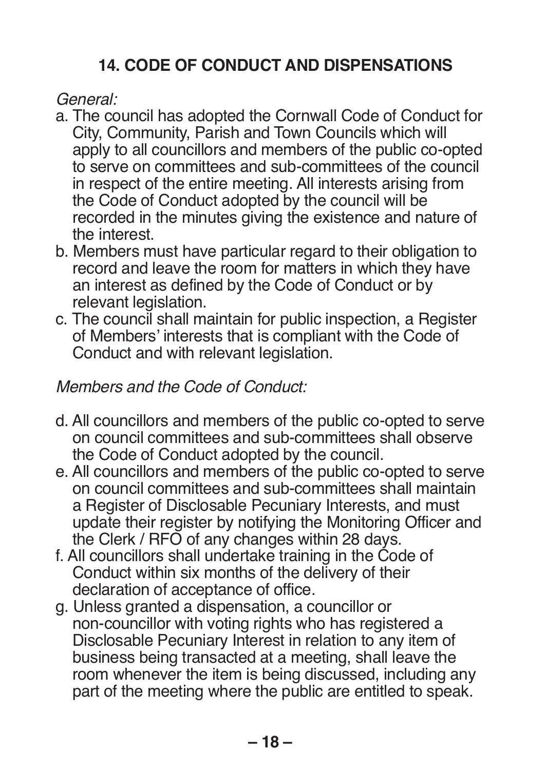## **14. CODE OF CONDUCT AND DISPENSATIONS**

*General:*

- a. The council has adopted the Cornwall Code of Conduct for City, Community, Parish and Town Councils which will apply to all councillors and members of the public co-opted to serve on committees and sub-committees of the council in respect of the entire meeting. All interests arising from the Code of Conduct adopted by the council will be recorded in the minutes giving the existence and nature of the interest.
- b. Members must have particular regard to their obligation to record and leave the room for matters in which they have an interest as defined by the Code of Conduct or by relevant legislation.
- c. The council shall maintain for public inspection, a Register of Members' interests that is compliant with the Code of Conduct and with relevant legislation.

#### *Members and the Code of Conduct:*

- d. All councillors and members of the public co-opted to serve on council committees and sub-committees shall observe the Code of Conduct adopted by the council.
- e. All councillors and members of the public co-opted to serve on council committees and sub-committees shall maintain a Register of Disclosable Pecuniary Interests, and must update their register by notifying the Monitoring Officer and the Clerk / RFO of any changes within 28 days.
- f. All councillors shall undertake training in the Code of Conduct within six months of the delivery of their declaration of acceptance of office.
- g. Unless granted a dispensation, a councillor or non-councillor with voting rights who has registered a Disclosable Pecuniary Interest in relation to any item of business being transacted at a meeting, shall leave the room whenever the item is being discussed, including any part of the meeting where the public are entitled to speak.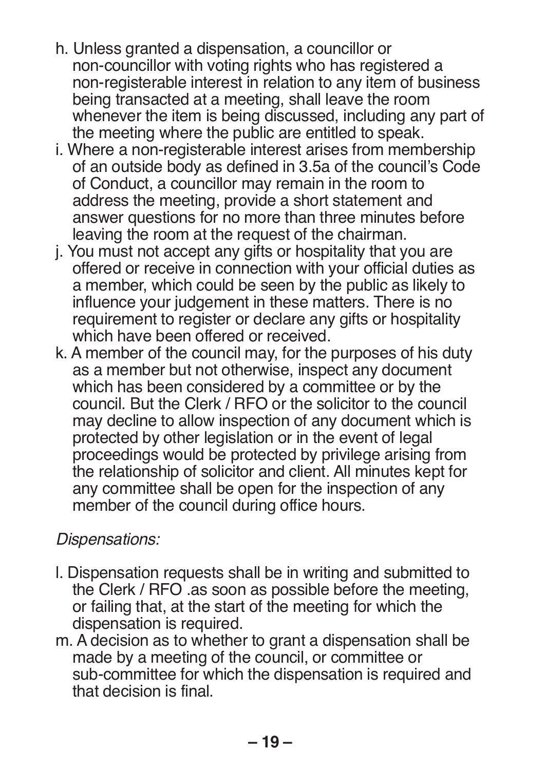- h. Unless granted a dispensation, a councillor or non-councillor with voting rights who has registered a non-registerable interest in relation to any item of business being transacted at a meeting, shall leave the room whenever the item is being discussed, including any part of the meeting where the public are entitled to speak.
- i. Where a non-registerable interest arises from membership of an outside body as defined in 3.5a of the council's Code of Conduct, a councillor may remain in the room to address the meeting, provide a short statement and answer questions for no more than three minutes before leaving the room at the request of the chairman.
- j. You must not accept any gifts or hospitality that you are offered or receive in connection with your official duties as a member, which could be seen by the public as likely to influence your judgement in these matters. There is no requirement to register or declare any gifts or hospitality which have been offered or received.
- k. A member of the council may, for the purposes of his duty as a member but not otherwise, inspect any document which has been considered by a committee or by the council. But the Clerk / RFO or the solicitor to the council may decline to allow inspection of any document which is protected by other legislation or in the event of legal proceedings would be protected by privilege arising from the relationship of solicitor and client. All minutes kept for any committee shall be open for the inspection of any member of the council during office hours.

#### *Dispensations:*

- l. Dispensation requests shall be in writing and submitted to the Clerk / RFO .as soon as possible before the meeting, or failing that, at the start of the meeting for which the dispensation is required.
- m. A decision as to whether to grant a dispensation shall be made by a meeting of the council, or committee or sub-committee for which the dispensation is required and that decision is final.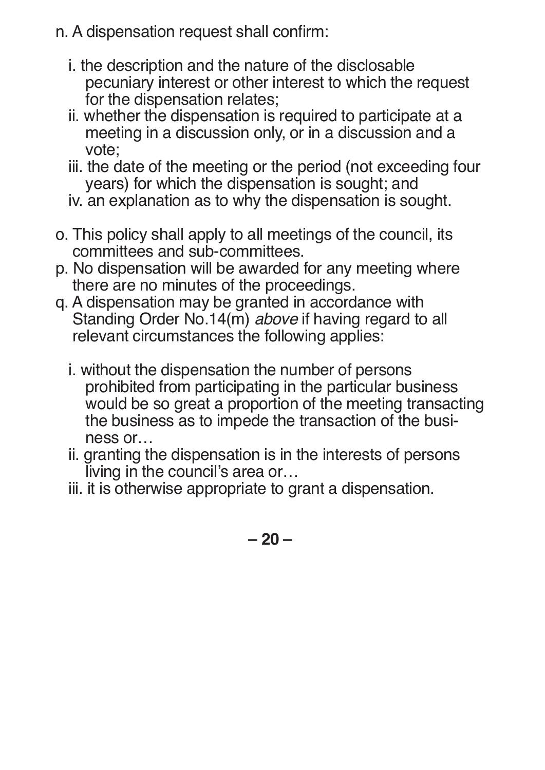- n. A dispensation request shall confirm:
	- i. the description and the nature of the disclosable pecuniary interest or other interest to which the request for the dispensation relates;
	- ii. whether the dispensation is required to participate at a meeting in a discussion only, or in a discussion and a vote;
	- iii. the date of the meeting or the period (not exceeding four years) for which the dispensation is sought; and
	- iv. an explanation as to why the dispensation is sought.
- o. This policy shall apply to all meetings of the council, its committees and sub-committees.
- p. No dispensation will be awarded for any meeting where there are no minutes of the proceedings.
- q. A dispensation may be granted in accordance with Standing Order No.14(m) *above* if having regard to all relevant circumstances the following applies:
	- i. without the dispensation the number of persons prohibited from participating in the particular business would be so great a proportion of the meeting transacting the business as to impede the transaction of the business or…
	- ii. granting the dispensation is in the interests of persons living in the council's area or…
	- iii. it is otherwise appropriate to grant a dispensation.

**– 20 –**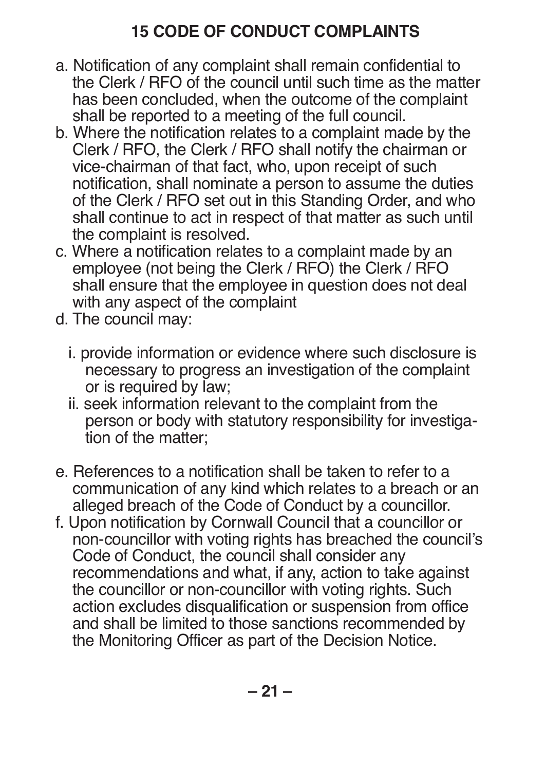# **15 CODE OF CONDUCT COMPLAINTS**

- a. Notification of any complaint shall remain confidential to the Clerk / RFO of the council until such time as the matter has been concluded, when the outcome of the complaint shall be reported to a meeting of the full council.
- b. Where the notification relates to a complaint made by the Clerk / RFO, the Clerk / RFO shall notify the chairman or vice-chairman of that fact, who, upon receipt of such notification, shall nominate a person to assume the duties of the Clerk / RFO set out in this Standing Order, and who shall continue to act in respect of that matter as such until the complaint is resolved.
- c. Where a notification relates to a complaint made by an employee (not being the Clerk / RFO) the Clerk / RFO shall ensure that the employee in question does not deal with any aspect of the complaint
- d. The council may:
	- i. provide information or evidence where such disclosure is necessary to progress an investigation of the complaint or is required by law;
	- ii. seek information relevant to the complaint from the person or body with statutory responsibility for investigation of the matter;
- e. References to a notification shall be taken to refer to a communication of any kind which relates to a breach or an alleged breach of the Code of Conduct by a councillor.
- f. Upon notification by Cornwall Council that a councillor or non-councillor with voting rights has breached the council's Code of Conduct, the council shall consider any recommendations and what, if any, action to take against the councillor or non-councillor with voting rights. Such action excludes disqualification or suspension from office and shall be limited to those sanctions recommended by the Monitoring Officer as part of the Decision Notice.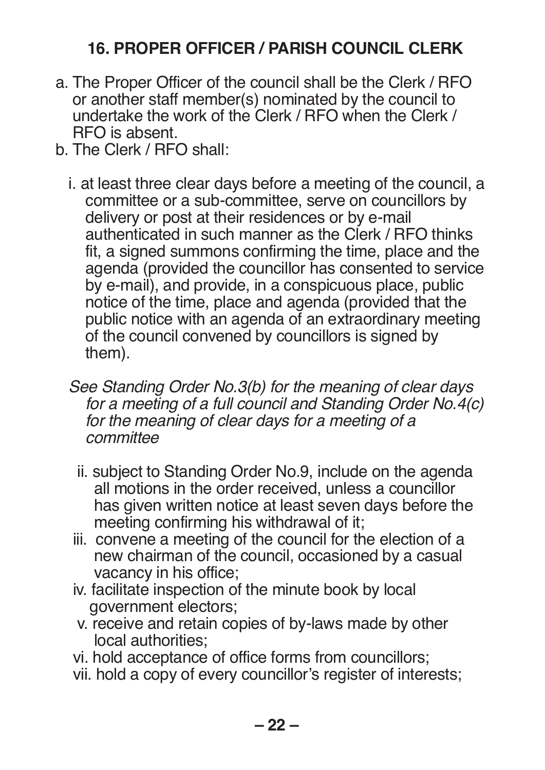## **16. PROPER OFFICER / PARISH COUNCIL CLERK**

- a. The Proper Officer of the council shall be the Clerk / RFO or another staff member(s) nominated by the council to undertake the work of the Clerk / RFO when the Clerk / RFO is absent.
- b. The Clerk / RFO shall:
	- i. at least three clear days before a meeting of the council, a committee or a sub-committee, serve on councillors by delivery or post at their residences or by e-mail authenticated in such manner as the Clerk / RFO thinks fit, a signed summons confirming the time, place and the agenda (provided the councillor has consented to service by e-mail), and provide, in a conspicuous place, public notice of the time, place and agenda (provided that the public notice with an agenda of an extraordinary meeting of the council convened by councillors is signed by them).
	- *See Standing Order No.3(b) for the meaning of clear days for a meeting of a full council and Standing Order No.4(c) for the meaning of clear days for a meeting of a committee*
		- ii. subject to Standing Order No.9, include on the agenda all motions in the order received, unless a councillor has given written notice at least seven days before the meeting confirming his withdrawal of it;
	- iii. convene a meeting of the council for the election of a new chairman of the council, occasioned by a casual vacancy in his office;
	- iv. facilitate inspection of the minute book by local government electors;
	- v. receive and retain copies of by-laws made by other local authorities;
	- vi. hold acceptance of office forms from councillors;
	- vii. hold a copy of every councillor's register of interests;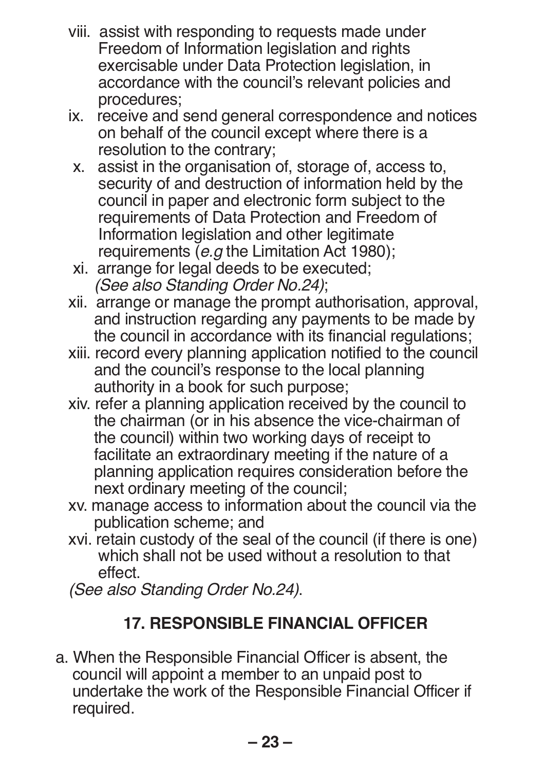- viii. assist with responding to requests made under Freedom of Information legislation and rights exercisable under Data Protection legislation, in accordance with the council's relevant policies and procedures;
- ix. receive and send general correspondence and notices on behalf of the council except where there is a resolution to the contrary;
- x. assist in the organisation of, storage of, access to, security of and destruction of information held by the council in paper and electronic form subject to the requirements of Data Protection and Freedom of Information legislation and other legitimate requirements (*e.g* the Limitation Act 1980);
- xi. arrange for legal deeds to be executed; *(See also Standing Order No.24)*;
- xii. arrange or manage the prompt authorisation, approval, and instruction regarding any payments to be made by the council in accordance with its financial regulations;
- xiii. record every planning application notified to the council and the council's response to the local planning authority in a book for such purpose;
- xiv. refer a planning application received by the council to the chairman (or in his absence the vice-chairman of the council) within two working days of receipt to facilitate an extraordinary meeting if the nature of a planning application requires consideration before the next ordinary meeting of the council;
- xv. manage access to information about the council via the publication scheme; and
- xvi. retain custody of the seal of the council (if there is one) which shall not be used without a resolution to that effect.

*(See also Standing Order No.24)*.

# **17. RESPONSIBLE FINANCIAL OFFICER**

a. When the Responsible Financial Officer is absent, the council will appoint a member to an unpaid post to undertake the work of the Responsible Financial Officer if required.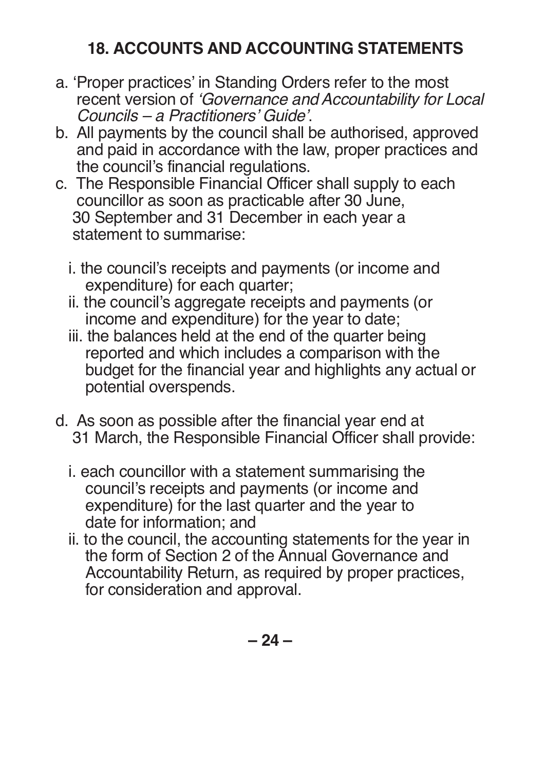#### **18. ACCOUNTS AND ACCOUNTING STATEMENTS**

- a. 'Proper practices' in Standing Orders refer to the most recent version of *'Governance and Accountability for Local Councils – a Practitioners' Guide'*.
- b. All payments by the council shall be authorised, approved and paid in accordance with the law, proper practices and the council's financial regulations.
- c. The Responsible Financial Officer shall supply to each councillor as soon as practicable after 30 June, 30 September and 31 December in each year a statement to summarise:
	- i. the council's receipts and payments (or income and expenditure) for each quarter;
	- ii. the council's aggregate receipts and payments (or income and expenditure) for the year to date;
	- iii. the balances held at the end of the quarter being reported and which includes a comparison with the budget for the financial year and highlights any actual or potential overspends.
- d. As soon as possible after the financial year end at 31 March, the Responsible Financial Officer shall provide:
	- i. each councillor with a statement summarising the council's receipts and payments (or income and expenditure) for the last quarter and the year to date for information; and
	- ii. to the council, the accounting statements for the year in the form of Section 2 of the Annual Governance and Accountability Return, as required by proper practices, for consideration and approval.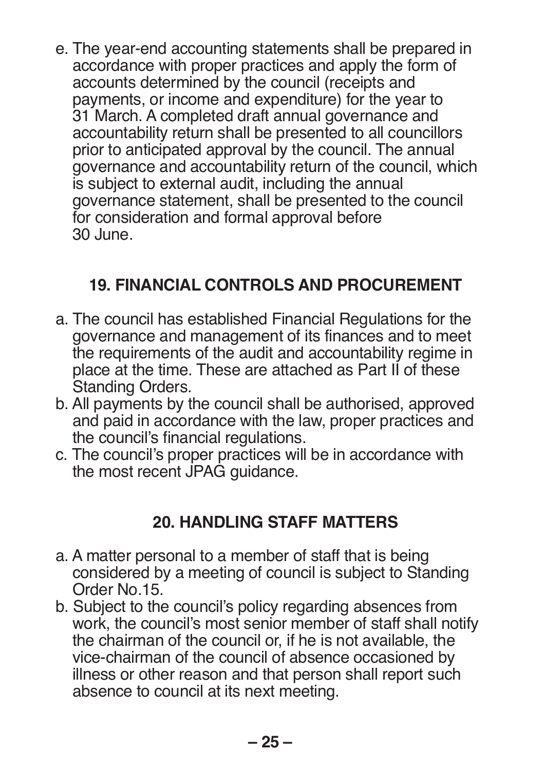e. The year-end accounting statements shall be prepared in accordance with proper practices and apply the form of accounts determined by the council (receipts and payments, or income and expenditure) for the year to 31 March. A completed draft annual governance and accountability return shall be presented to all councillors prior to anticipated approval by the council. The annual governance and accountability return of the council, which is subject to external audit, including the annual governance statement, shall be presented to the council for consideration and formal approval before 30 June.

## **19. FINANCIAL CONTROLS AND PROCUREMENT**

- a. The council has established Financial Regulations for the governance and management of its finances and to meet the requirements of the audit and accountability regime in place at the time. These are attached as Part II of these Standing Orders.
- b. All payments by the council shall be authorised, approved and paid in accordance with the law, proper practices and the council's financial regulations.
- c. The council's proper practices will be in accordance with the most recent JPAG guidance.

#### **20. HANDLING STAFF MATTERS**

- a. A matter personal to a member of staff that is being considered by a meeting of council is subject to Standing Order No.15.
- b. Subject to the council's policy regarding absences from work, the council's most senior member of staff shall notify the chairman of the council or, if he is not available, the vice-chairman of the council of absence occasioned by illness or other reason and that person shall report such absence to council at its next meeting.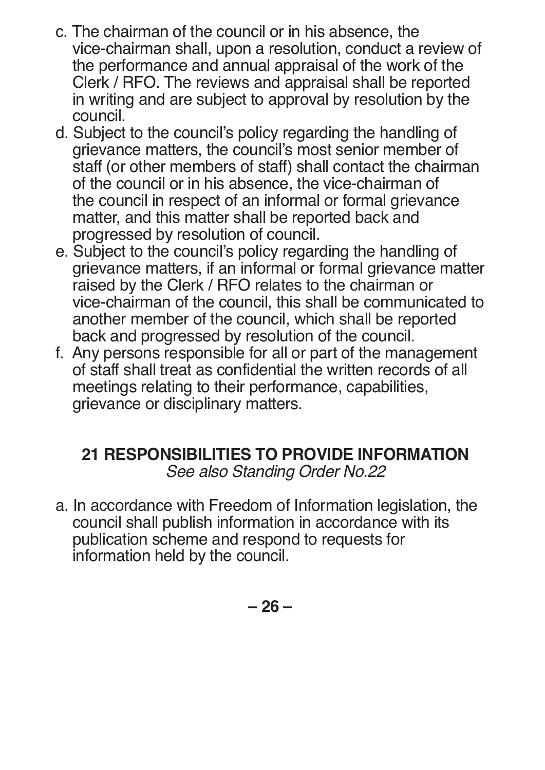- c. The chairman of the council or in his absence, the vice-chairman shall, upon a resolution, conduct a review of the performance and annual appraisal of the work of the Clerk / RFO. The reviews and appraisal shall be reported in writing and are subject to approval by resolution by the council.
- d. Subject to the council's policy regarding the handling of grievance matters, the council's most senior member of staff (or other members of staff) shall contact the chairman of the council or in his absence, the vice-chairman of the council in respect of an informal or formal grievance matter, and this matter shall be reported back and progressed by resolution of council.
- e. Subject to the council's policy regarding the handling of grievance matters, if an informal or formal grievance matter raised by the Clerk / RFO relates to the chairman or vice-chairman of the council, this shall be communicated to another member of the council, which shall be reported back and progressed by resolution of the council.
- f. Any persons responsible for all or part of the management of staff shall treat as confidential the written records of all meetings relating to their performance, capabilities, grievance or disciplinary matters.

#### **21 RESPONSIBILITIES TO PROVIDE INFORMATION** *See also Standing Order No.22*

a. In accordance with Freedom of Information legislation, the council shall publish information in accordance with its publication scheme and respond to requests for information held by the council.

**– 26 –**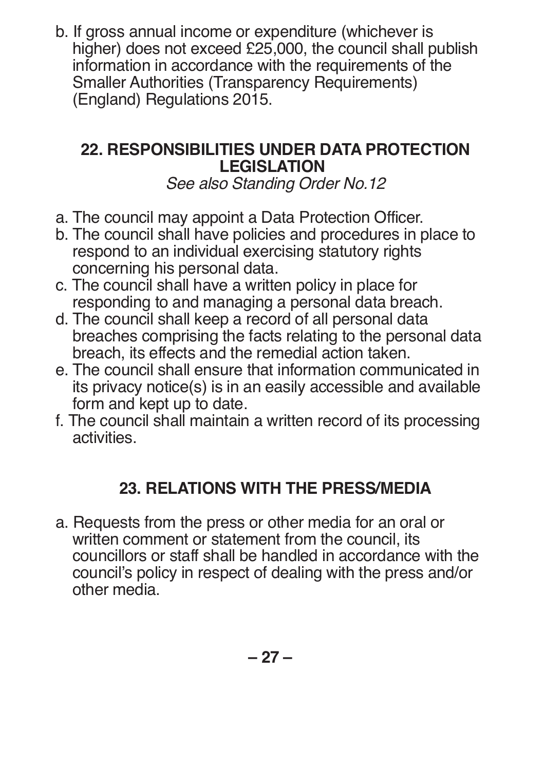b. If gross annual income or expenditure (whichever is higher) does not exceed £25,000, the council shall publish information in accordance with the requirements of the Smaller Authorities (Transparency Requirements) (England) Regulations 2015.

#### **22. RESPONSIBILITIES UNDER DATA PROTECTION LEGISLATION**

*See also Standing Order No.12*

- a. The council may appoint a Data Protection Officer.
- b. The council shall have policies and procedures in place to respond to an individual exercising statutory rights concerning his personal data.
- c. The council shall have a written policy in place for responding to and managing a personal data breach.
- d. The council shall keep a record of all personal data breaches comprising the facts relating to the personal data breach, its effects and the remedial action taken.
- e. The council shall ensure that information communicated in its privacy notice(s) is in an easily accessible and available form and kept up to date.
- f. The council shall maintain a written record of its processing activities.

#### **23. RELATIONS WITH THE PRESS/MEDIA**

a. Requests from the press or other media for an oral or written comment or statement from the council, its councillors or staff shall be handled in accordance with the council's policy in respect of dealing with the press and/or other media.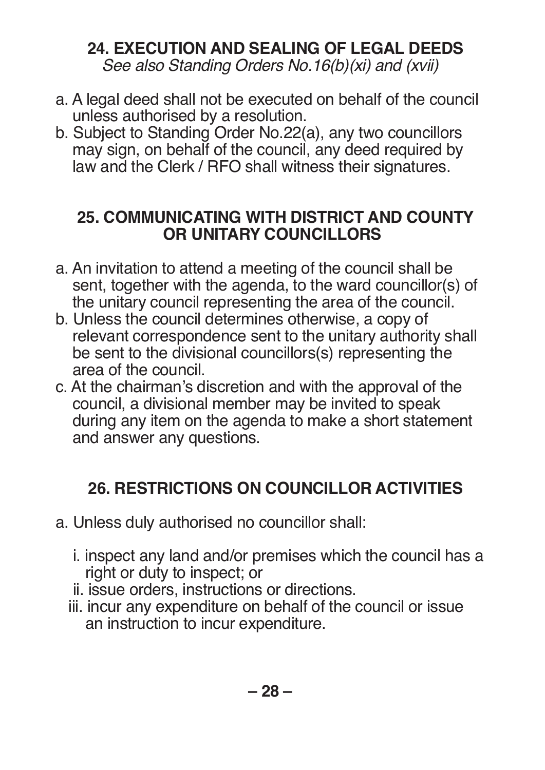# **24. EXECUTION AND SEALING OF LEGAL DEEDS**

*See also Standing Orders No.16(b)(xi) and (xvii)*

- a. A legal deed shall not be executed on behalf of the council unless authorised by a resolution.
- b. Subject to Standing Order No.22(a), any two councillors may sign, on behalf of the council, any deed required by law and the Clerk / RFO shall witness their signatures.

#### **25. COMMUNICATING WITH DISTRICT AND COUNTY OR UNITARY COUNCILLORS**

- a. An invitation to attend a meeting of the council shall be sent, together with the agenda, to the ward councillor(s) of the unitary council representing the area of the council.
- b. Unless the council determines otherwise, a copy of relevant correspondence sent to the unitary authority shall be sent to the divisional councillors(s) representing the area of the council.
- c. At the chairman's discretion and with the approval of the council, a divisional member may be invited to speak during any item on the agenda to make a short statement and answer any questions.

# **26. RESTRICTIONS ON COUNCILLOR ACTIVITIES**

- a. Unless duly authorised no councillor shall:
	- i. inspect any land and/or premises which the council has a right or duty to inspect; or
	- ii. issue orders, instructions or directions.
	- iii. incur any expenditure on behalf of the council or issue an instruction to incur expenditure.